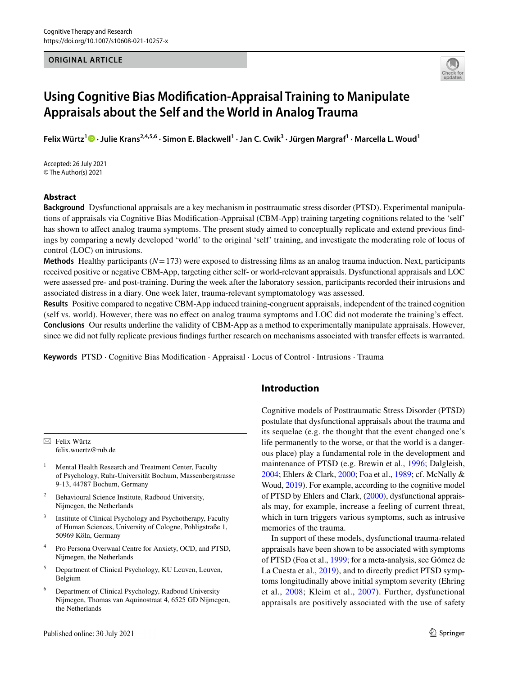#### **ORIGINAL ARTICLE**



# **Using Cognitive Bias Modifcation‑Appraisal Training to Manipulate Appraisals about the Self and the World in Analog Trauma**

**Felix Würtz<sup>1</sup> · Julie Krans2,4,5,6 · Simon E. Blackwell1 · Jan C. Cwik3 · Jürgen Margraf1 · Marcella L. Woud1**

Accepted: 26 July 2021 © The Author(s) 2021

## **Abstract**

**Background** Dysfunctional appraisals are a key mechanism in posttraumatic stress disorder (PTSD). Experimental manipulations of appraisals via Cognitive Bias Modifcation-Appraisal (CBM-App) training targeting cognitions related to the 'self' has shown to afect analog trauma symptoms. The present study aimed to conceptually replicate and extend previous fndings by comparing a newly developed 'world' to the original 'self' training, and investigate the moderating role of locus of control (LOC) on intrusions.

**Methods** Healthy participants (*N*=173) were exposed to distressing flms as an analog trauma induction. Next, participants received positive or negative CBM-App, targeting either self- or world-relevant appraisals. Dysfunctional appraisals and LOC were assessed pre- and post-training. During the week after the laboratory session, participants recorded their intrusions and associated distress in a diary. One week later, trauma-relevant symptomatology was assessed.

**Results** Positive compared to negative CBM-App induced training-congruent appraisals, independent of the trained cognition (self vs. world). However, there was no efect on analog trauma symptoms and LOC did not moderate the training's efect. **Conclusions** Our results underline the validity of CBM-App as a method to experimentally manipulate appraisals. However, since we did not fully replicate previous fndings further research on mechanisms associated with transfer efects is warranted.

**Keywords** PTSD · Cognitive Bias Modifcation · Appraisal · Locus of Control · Intrusions · Trauma

 $\boxtimes$  Felix Würtz felix.wuertz@rub.de

- Mental Health Research and Treatment Center, Faculty of Psychology, Ruhr-Universität Bochum, Massenbergstrasse 9-13, 44787 Bochum, Germany
- <sup>2</sup> Behavioural Science Institute, Radboud University, Nijmegen, the Netherlands
- Institute of Clinical Psychology and Psychotherapy, Faculty of Human Sciences, University of Cologne, Pohligstraße 1, 50969 Köln, Germany
- <sup>4</sup> Pro Persona Overwaal Centre for Anxiety, OCD, and PTSD, Nijmegen, the Netherlands
- <sup>5</sup> Department of Clinical Psychology, KU Leuven, Leuven, Belgium
- <sup>6</sup> Department of Clinical Psychology, Radboud University Nijmegen, Thomas van Aquinostraat 4, 6525 GD Nijmegen, the Netherlands

# **Introduction**

Cognitive models of Posttraumatic Stress Disorder (PTSD) postulate that dysfunctional appraisals about the trauma and its sequelae (e.g. the thought that the event changed one's life permanently to the worse, or that the world is a dangerous place) play a fundamental role in the development and maintenance of PTSD (e.g. Brewin et al., [1996](#page-12-0); Dalgleish, [2004](#page-12-1); Ehlers & Clark, [2000;](#page-12-2) Foa et al., [1989;](#page-12-3) cf. McNally & Woud, [2019](#page-13-0)). For example, according to the cognitive model of PTSD by Ehlers and Clark, ([2000\)](#page-12-2), dysfunctional appraisals may, for example, increase a feeling of current threat, which in turn triggers various symptoms, such as intrusive memories of the trauma.

In support of these models, dysfunctional trauma-related appraisals have been shown to be associated with symptoms of PTSD (Foa et al., [1999](#page-12-4); for a meta-analysis, see Gómez de La Cuesta et al., [2019](#page-12-5)), and to directly predict PTSD symptoms longitudinally above initial symptom severity (Ehring et al., [2008;](#page-12-6) Kleim et al., [2007\)](#page-13-1). Further, dysfunctional appraisals are positively associated with the use of safety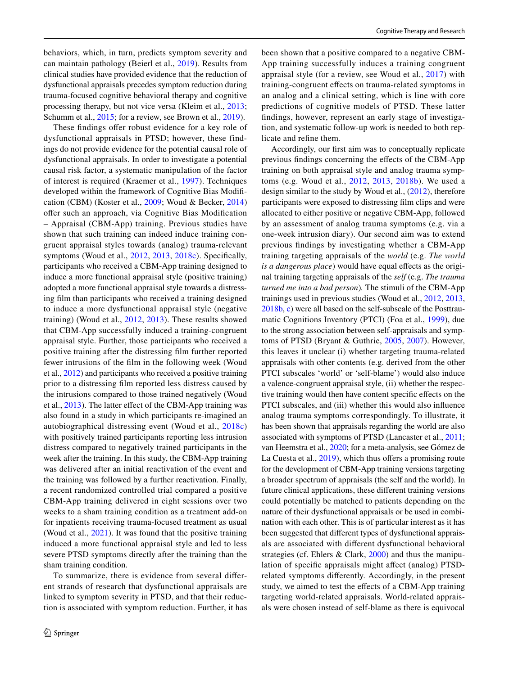behaviors, which, in turn, predicts symptom severity and can maintain pathology (Beierl et al., [2019\)](#page-12-7). Results from clinical studies have provided evidence that the reduction of dysfunctional appraisals precedes symptom reduction during trauma-focused cognitive behavioral therapy and cognitive processing therapy, but not vice versa (Kleim et al., [2013](#page-13-2); Schumm et al., [2015;](#page-13-3) for a review, see Brown et al., [2019](#page-12-8)).

These findings offer robust evidence for a key role of dysfunctional appraisals in PTSD; however, these findings do not provide evidence for the potential causal role of dysfunctional appraisals. In order to investigate a potential causal risk factor, a systematic manipulation of the factor of interest is required (Kraemer et al., [1997](#page-13-4)). Techniques developed within the framework of Cognitive Bias Modifcation (CBM) (Koster et al., [2009](#page-13-5); Woud & Becker, [2014\)](#page-13-6) ofer such an approach, via Cognitive Bias Modifcation – Appraisal (CBM-App) training. Previous studies have shown that such training can indeed induce training congruent appraisal styles towards (analog) trauma-relevant symptoms (Woud et al., [2012](#page-14-0), [2013](#page-14-1), [2018c\)](#page-14-2). Specifcally, participants who received a CBM-App training designed to induce a more functional appraisal style (positive training) adopted a more functional appraisal style towards a distressing flm than participants who received a training designed to induce a more dysfunctional appraisal style (negative training) (Woud et al., [2012](#page-14-0), [2013](#page-14-1)). These results showed that CBM-App successfully induced a training-congruent appraisal style. Further, those participants who received a positive training after the distressing flm further reported fewer intrusions of the flm in the following week (Woud et al., [2012](#page-14-0)) and participants who received a positive training prior to a distressing flm reported less distress caused by the intrusions compared to those trained negatively (Woud et al., [2013](#page-14-1)). The latter effect of the CBM-App training was also found in a study in which participants re-imagined an autobiographical distressing event (Woud et al., [2018c\)](#page-14-2) with positively trained participants reporting less intrusion distress compared to negatively trained participants in the week after the training. In this study, the CBM-App training was delivered after an initial reactivation of the event and the training was followed by a further reactivation. Finally, a recent randomized controlled trial compared a positive CBM-App training delivered in eight sessions over two weeks to a sham training condition as a treatment add-on for inpatients receiving trauma-focused treatment as usual (Woud et al., [2021\)](#page-13-7). It was found that the positive training induced a more functional appraisal style and led to less severe PTSD symptoms directly after the training than the sham training condition.

To summarize, there is evidence from several diferent strands of research that dysfunctional appraisals are linked to symptom severity in PTSD, and that their reduction is associated with symptom reduction. Further, it has been shown that a positive compared to a negative CBM-App training successfully induces a training congruent appraisal style (for a review, see Woud et al., [2017](#page-14-3)) with training-congruent efects on trauma-related symptoms in an analog and a clinical setting, which is line with core predictions of cognitive models of PTSD. These latter fndings, however, represent an early stage of investigation, and systematic follow-up work is needed to both replicate and refne them.

Accordingly, our frst aim was to conceptually replicate previous fndings concerning the efects of the CBM-App training on both appraisal style and analog trauma symptoms (e.g. Woud et al., [2012,](#page-14-0) [2013](#page-14-1), [2018b\)](#page-13-8). We used a design similar to the study by Woud et al., ([2012](#page-14-0)), therefore participants were exposed to distressing flm clips and were allocated to either positive or negative CBM-App, followed by an assessment of analog trauma symptoms (e.g. via a one-week intrusion diary). Our second aim was to extend previous fndings by investigating whether a CBM-App training targeting appraisals of the *world* (e.g. *The world is a dangerous place*) would have equal effects as the original training targeting appraisals of the *self* (e.g. *The trauma turned me into a bad person*)*.* The stimuli of the CBM-App trainings used in previous studies (Woud et al., [2012,](#page-14-0) [2013,](#page-14-1) [2018b,](#page-13-8) [c](#page-14-2)) were all based on the self-subscale of the Posttraumatic Cognitions Inventory (PTCI) (Foa et al., [1999\)](#page-12-4), due to the strong association between self-appraisals and symptoms of PTSD (Bryant & Guthrie, [2005,](#page-12-9) [2007](#page-12-10)). However, this leaves it unclear (i) whether targeting trauma-related appraisals with other contents (e.g. derived from the other PTCI subscales 'world' or 'self-blame') would also induce a valence-congruent appraisal style, (ii) whether the respective training would then have content specifc efects on the PTCI subscales, and (iii) whether this would also infuence analog trauma symptoms correspondingly. To illustrate, it has been shown that appraisals regarding the world are also associated with symptoms of PTSD (Lancaster et al., [2011](#page-13-9); van Heemstra et al., [2020;](#page-13-10) for a meta-analysis, see Gómez de La Cuesta et al., [2019\)](#page-12-5), which thus offers a promising route for the development of CBM-App training versions targeting a broader spectrum of appraisals (the self and the world). In future clinical applications, these diferent training versions could potentially be matched to patients depending on the nature of their dysfunctional appraisals or be used in combination with each other. This is of particular interest as it has been suggested that diferent types of dysfunctional appraisals are associated with diferent dysfunctional behavioral strategies (cf. Ehlers & Clark, [2000\)](#page-12-2) and thus the manipulation of specifc appraisals might afect (analog) PTSDrelated symptoms diferently. Accordingly, in the present study, we aimed to test the efects of a CBM-App training targeting world-related appraisals. World-related appraisals were chosen instead of self-blame as there is equivocal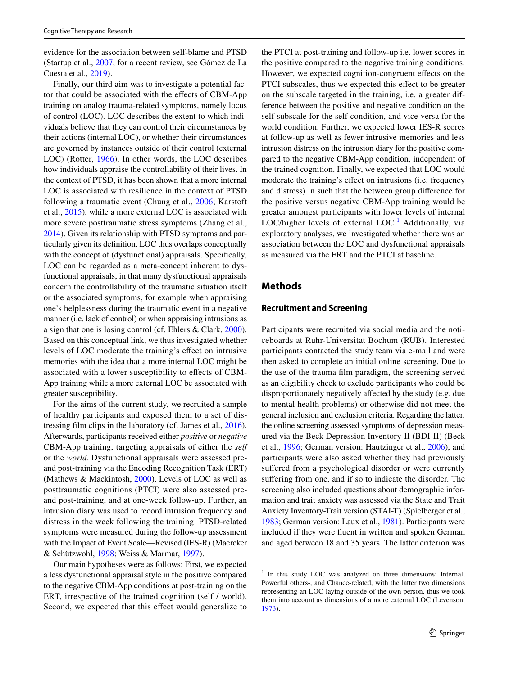evidence for the association between self-blame and PTSD (Startup et al., [2007](#page-13-11), for a recent review, see Gómez de La Cuesta et al., [2019\)](#page-12-5).

Finally, our third aim was to investigate a potential factor that could be associated with the efects of CBM-App training on analog trauma-related symptoms, namely locus of control (LOC). LOC describes the extent to which individuals believe that they can control their circumstances by their actions (internal LOC), or whether their circumstances are governed by instances outside of their control (external LOC) (Rotter, [1966\)](#page-13-12). In other words, the LOC describes how individuals appraise the controllability of their lives. In the context of PTSD, it has been shown that a more internal LOC is associated with resilience in the context of PTSD following a traumatic event (Chung et al., [2006](#page-12-11); Karstoft et al., [2015\)](#page-13-13), while a more external LOC is associated with more severe posttraumatic stress symptoms (Zhang et al., [2014](#page-14-4)). Given its relationship with PTSD symptoms and particularly given its defnition, LOC thus overlaps conceptually with the concept of (dysfunctional) appraisals. Specifcally, LOC can be regarded as a meta-concept inherent to dysfunctional appraisals, in that many dysfunctional appraisals concern the controllability of the traumatic situation itself or the associated symptoms, for example when appraising one's helplessness during the traumatic event in a negative manner (i.e. lack of control) or when appraising intrusions as a sign that one is losing control (cf. Ehlers & Clark, [2000](#page-12-2)). Based on this conceptual link, we thus investigated whether levels of LOC moderate the training's efect on intrusive memories with the idea that a more internal LOC might be associated with a lower susceptibility to efects of CBM-App training while a more external LOC be associated with greater susceptibility.

For the aims of the current study, we recruited a sample of healthy participants and exposed them to a set of distressing flm clips in the laboratory (cf. James et al., [2016](#page-12-12)). Afterwards, participants received either *positive* or *negative* CBM-App training, targeting appraisals of either the *self* or the *world*. Dysfunctional appraisals were assessed preand post-training via the Encoding Recognition Task (ERT) (Mathews & Mackintosh, [2000](#page-13-14)). Levels of LOC as well as posttraumatic cognitions (PTCI) were also assessed preand post-training, and at one-week follow-up. Further, an intrusion diary was used to record intrusion frequency and distress in the week following the training. PTSD-related symptoms were measured during the follow-up assessment with the Impact of Event Scale—Revised (IES-R) (Maercker & Schützwohl, [1998;](#page-13-15) Weiss & Marmar, [1997](#page-13-16)).

Our main hypotheses were as follows: First, we expected a less dysfunctional appraisal style in the positive compared to the negative CBM-App conditions at post-training on the ERT, irrespective of the trained cognition (self / world). Second, we expected that this effect would generalize to the PTCI at post-training and follow-up i.e. lower scores in the positive compared to the negative training conditions. However, we expected cognition-congruent effects on the PTCI subscales, thus we expected this effect to be greater on the subscale targeted in the training, i.e. a greater difference between the positive and negative condition on the self subscale for the self condition, and vice versa for the world condition. Further, we expected lower IES-R scores at follow-up as well as fewer intrusive memories and less intrusion distress on the intrusion diary for the positive compared to the negative CBM-App condition, independent of the trained cognition. Finally, we expected that LOC would moderate the training's efect on intrusions (i.e. frequency and distress) in such that the between group diference for the positive versus negative CBM-App training would be greater amongst participants with lower levels of internal LOC/higher levels of external  $LOC<sup>1</sup>$  $LOC<sup>1</sup>$  $LOC<sup>1</sup>$  Additionally, via exploratory analyses, we investigated whether there was an association between the LOC and dysfunctional appraisals as measured via the ERT and the PTCI at baseline.

## **Methods**

#### **Recruitment and Screening**

Participants were recruited via social media and the noticeboards at Ruhr-Universität Bochum (RUB). Interested participants contacted the study team via e-mail and were then asked to complete an initial online screening. Due to the use of the trauma flm paradigm, the screening served as an eligibility check to exclude participants who could be disproportionately negatively afected by the study (e.g. due to mental health problems) or otherwise did not meet the general inclusion and exclusion criteria. Regarding the latter, the online screening assessed symptoms of depression measured via the Beck Depression Inventory-II (BDI-II) (Beck et al., [1996;](#page-12-13) German version: Hautzinger et al., [2006\)](#page-12-14), and participants were also asked whether they had previously suffered from a psychological disorder or were currently suffering from one, and if so to indicate the disorder. The screening also included questions about demographic information and trait anxiety was assessed via the State and Trait Anxiety Inventory-Trait version (STAI-T) (Spielberger et al., [1983](#page-13-17); German version: Laux et al., [1981](#page-13-18)). Participants were included if they were fuent in written and spoken German and aged between 18 and 35 years. The latter criterion was

<span id="page-2-0"></span><sup>&</sup>lt;sup>1</sup> In this study LOC was analyzed on three dimensions: Internal, Powerful others-, and Chance-related, with the latter two dimensions representing an LOC laying outside of the own person, thus we took them into account as dimensions of a more external LOC (Levenson, [1973](#page-13-19)).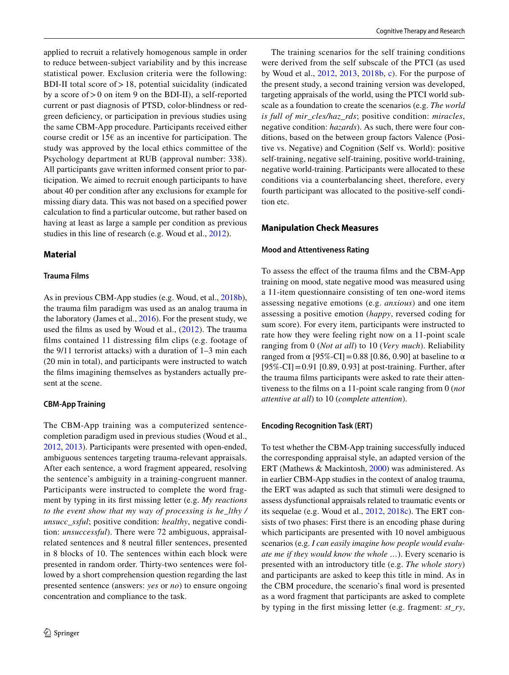applied to recruit a relatively homogenous sample in order to reduce between-subject variability and by this increase statistical power. Exclusion criteria were the following: BDI-II total score of  $> 18$ , potential suicidality (indicated by a score of>0 on item 9 on the BDI-II), a self-reported current or past diagnosis of PTSD, color-blindness or redgreen defciency, or participation in previous studies using the same CBM-App procedure. Participants received either course credit or  $15\epsilon$  as an incentive for participation. The study was approved by the local ethics committee of the Psychology department at RUB (approval number: 338). All participants gave written informed consent prior to participation. We aimed to recruit enough participants to have about 40 per condition after any exclusions for example for missing diary data. This was not based on a specifed power calculation to fnd a particular outcome, but rather based on having at least as large a sample per condition as previous studies in this line of research (e.g. Woud et al., [2012\)](#page-14-0).

## **Material**

#### **Trauma Films**

As in previous CBM-App studies (e.g. Woud, et al., [2018b](#page-13-8)), the trauma flm paradigm was used as an analog trauma in the laboratory (James et al., [2016](#page-12-12)). For the present study, we used the flms as used by Woud et al., ([2012](#page-14-0)). The trauma flms contained 11 distressing flm clips (e.g. footage of the 9/11 terrorist attacks) with a duration of 1–3 min each (20 min in total), and participants were instructed to watch the flms imagining themselves as bystanders actually present at the scene.

### **CBM‑App Training**

The CBM-App training was a computerized sentencecompletion paradigm used in previous studies (Woud et al., [2012](#page-14-0), [2013\)](#page-14-1). Participants were presented with open-ended, ambiguous sentences targeting trauma-relevant appraisals. After each sentence, a word fragment appeared, resolving the sentence's ambiguity in a training-congruent manner. Participants were instructed to complete the word fragment by typing in its frst missing letter (e.g. *My reactions to the event show that my way of processing is he\_lthy / unsucc\_ssful*; positive condition: *healthy*, negative condition: *unsuccessful*). There were 72 ambiguous, appraisalrelated sentences and 8 neutral fller sentences, presented in 8 blocks of 10. The sentences within each block were presented in random order. Thirty-two sentences were followed by a short comprehension question regarding the last presented sentence (answers: *yes* or *no*) to ensure ongoing concentration and compliance to the task.

The training scenarios for the self training conditions were derived from the self subscale of the PTCI (as used by Woud et al., [2012](#page-14-0), [2013,](#page-14-1) [2018b,](#page-13-8) [c\)](#page-14-2). For the purpose of the present study, a second training version was developed, targeting appraisals of the world, using the PTCI world subscale as a foundation to create the scenarios (e.g. *The world is full of mir\_cles/haz\_rds*; positive condition: *miracles*, negative condition: *hazards*). As such, there were four conditions, based on the between group factors Valence (Positive vs. Negative) and Cognition (Self vs. World): positive self-training, negative self-training, positive world-training, negative world-training. Participants were allocated to these conditions via a counterbalancing sheet, therefore, every fourth participant was allocated to the positive-self condition etc.

## **Manipulation Check Measures**

#### **Mood and Attentiveness Rating**

To assess the efect of the trauma flms and the CBM-App training on mood, state negative mood was measured using a 11-item questionnaire consisting of ten one-word items assessing negative emotions (e.g. *anxious*) and one item assessing a positive emotion (*happy*, reversed coding for sum score). For every item, participants were instructed to rate how they were feeling right now on a 11-point scale ranging from 0 (*Not at all*) to 10 (*Very much*). Reliability ranged from α [95%-CI] = 0.88 [0.86, 0.90] at baseline to α  $[95\%$ -CI]=0.91 [0.89, 0.93] at post-training. Further, after the trauma flms participants were asked to rate their attentiveness to the flms on a 11-point scale ranging from 0 (*not attentive at all*) to 10 (*complete attention*).

### **Encoding Recognition Task (ERT)**

To test whether the CBM-App training successfully induced the corresponding appraisal style, an adapted version of the ERT (Mathews & Mackintosh, [2000](#page-13-14)) was administered. As in earlier CBM-App studies in the context of analog trauma, the ERT was adapted as such that stimuli were designed to assess dysfunctional appraisals related to traumatic events or its sequelae (e.g. Woud et al., [2012](#page-14-0), [2018c\)](#page-14-2). The ERT consists of two phases: First there is an encoding phase during which participants are presented with 10 novel ambiguous scenarios (e.g. *I can easily imagine how people would evaluate me if they would know the whole …*). Every scenario is presented with an introductory title (e.g. *The whole story*) and participants are asked to keep this title in mind. As in the CBM procedure, the scenario's fnal word is presented as a word fragment that participants are asked to complete by typing in the frst missing letter (e.g. fragment: *st\_ry*,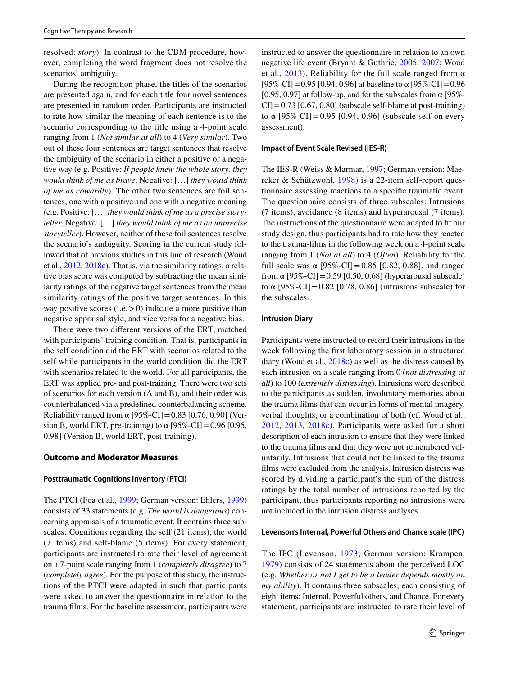resolved: *story*). In contrast to the CBM procedure, however, completing the word fragment does not resolve the scenarios' ambiguity.

During the recognition phase, the titles of the scenarios are presented again, and for each title four novel sentences are presented in random order. Participants are instructed to rate how similar the meaning of each sentence is to the scenario corresponding to the title using a 4-point scale ranging from 1 (*Not similar at all*) to 4 (*Very similar*). Two out of these four sentences are target sentences that resolve the ambiguity of the scenario in either a positive or a negative way (e.g. Positive: *If people knew the whole story, they would think of me as brave*, Negative: […] *they would think of me as cowardly*). The other two sentences are foil sentences, one with a positive and one with a negative meaning (e.g. Positive: […] *they would think of me as a precise storyteller*, Negative: […] *they would think of me as an unprecise storyteller*). However, neither of these foil sentences resolve the scenario's ambiguity. Scoring in the current study followed that of previous studies in this line of research (Woud et al., [2012,](#page-14-0) [2018c\)](#page-14-2). That is, via the similarity ratings, a relative bias score was computed by subtracting the mean similarity ratings of the negative target sentences from the mean similarity ratings of the positive target sentences. In this way positive scores  $(i.e. > 0)$  indicate a more positive than negative appraisal style, and vice versa for a negative bias.

There were two diferent versions of the ERT, matched with participants' training condition. That is, participants in the self condition did the ERT with scenarios related to the self while participants in the world condition did the ERT with scenarios related to the world. For all participants, the ERT was applied pre- and post-training. There were two sets of scenarios for each version (A and B), and their order was counterbalanced via a predefned counterbalancing scheme. Reliability ranged from  $\alpha$  [95%-CI] = 0.83 [0.76, 0.90] (Version B, world ERT, pre-training) to  $\alpha$  [95%-CI] = 0.96 [0.95, 0.98] (Version B, world ERT, post-training).

## **Outcome and Moderator Measures**

#### **Posttraumatic Cognitions Inventory (PTCI)**

The PTCI (Foa et al., [1999](#page-12-4); German version: Ehlers, [1999\)](#page-12-15) consists of 33 statements (e.g. *The world is dangerous*) concerning appraisals of a traumatic event. It contains three subscales: Cognitions regarding the self (21 items), the world (7 items) and self-blame (5 items). For every statement, participants are instructed to rate their level of agreement on a 7-point scale ranging from 1 (*completely disagree*) to 7 (*completely agree*). For the purpose of this study, the instructions of the PTCI were adapted in such that participants were asked to answer the questionnaire in relation to the trauma flms. For the baseline assessment, participants were instructed to answer the questionnaire in relation to an own negative life event (Bryant & Guthrie, [2005](#page-12-9), [2007](#page-12-10); Woud et al., [2013\)](#page-14-1). Reliability for the full scale ranged from  $\alpha$ [95%-CI]=0.95 [0.94, 0.96] at baseline to  $\alpha$  [95%-CI]=0.96 [0.95, 0.97] at follow-up, and for the subscales from  $\alpha$  [95%- $CI$ ] = 0.73 [0.67, 0.80] (subscale self-blame at post-training) to α  $[95\% - CI] = 0.95$  [0.94, 0.96] (subscale self on every assessment).

#### **Impact of Event Scale Revised (IES‑R)**

The IES-R (Weiss & Marmar, [1997;](#page-13-16) German version: Maercker & Schützwohl, [1998\)](#page-13-15) is a 22-item self-report questionnaire assessing reactions to a specifc traumatic event. The questionnaire consists of three subscales: Intrusions (7 items), avoidance (8 items) and hyperarousal (7 items). The instructions of the questionnaire were adapted to ft our study design, thus participants had to rate how they reacted to the trauma-flms in the following week on a 4-point scale ranging from 1 (*Not at all*) to 4 (*Often*). Reliability for the full scale was α  $[95\% - CI] = 0.85$  [0.82, 0.88], and ranged from  $\alpha$  [95%-CI] = 0.59 [0.50, 0.68] (hyperarousal subscale) to α  $[95\% - CI] = 0.82$  [0.78, 0.86] (intrusions subscale) for the subscales.

#### **Intrusion Diary**

Participants were instructed to record their intrusions in the week following the frst laboratory session in a structured diary (Woud et al., [2018c\)](#page-14-2) as well as the distress caused by each intrusion on a scale ranging from 0 (*not distressing at all*) to 100 (*extremely distressing*). Intrusions were described to the participants as sudden, involuntary memories about the trauma flms that can occur in forms of mental imagery, verbal thoughts, or a combination of both (cf. Woud et al., [2012](#page-14-0), [2013](#page-14-1), [2018c\)](#page-14-2). Participants were asked for a short description of each intrusion to ensure that they were linked to the trauma flms and that they were not remembered voluntarily. Intrusions that could not be linked to the trauma flms were excluded from the analysis. Intrusion distress was scored by dividing a participant's the sum of the distress ratings by the total number of intrusions reported by the participant, thus participants reporting no intrusions were not included in the intrusion distress analyses.

#### **Levenson's Internal, Powerful Others and Chance scale (IPC)**

The IPC (Levenson, [1973](#page-13-19); German version: Krampen, [1979\)](#page-13-20) consists of 24 statements about the perceived LOC (e.g. *Whether or not I get to be a leader depends mostly on my ability*). It contains three subscales, each consisting of eight items: Internal, Powerful others, and Chance. For every statement, participants are instructed to rate their level of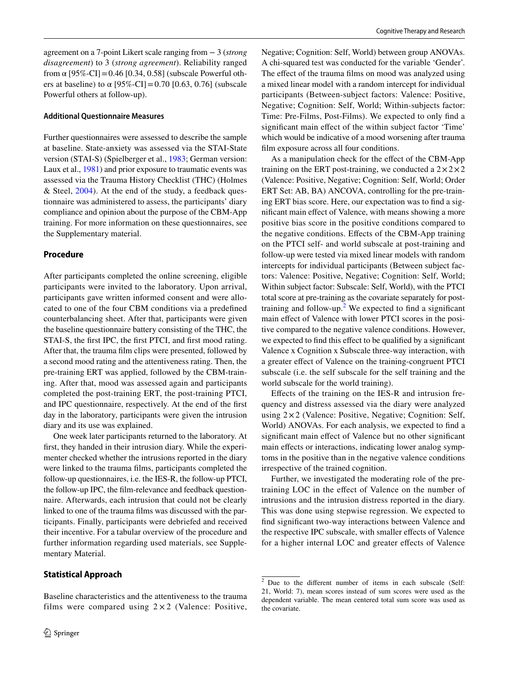agreement on a 7-point Likert scale ranging from − 3 (*strong disagreement*) to 3 (*strong agreement*). Reliability ranged from α  $[95\% - CI] = 0.46$   $[0.34, 0.58]$  (subscale Powerful others at baseline) to α  $[95\% - CI] = 0.70$   $[0.63, 0.76]$  (subscale Powerful others at follow-up).

#### **Additional Questionnaire Measures**

Further questionnaires were assessed to describe the sample at baseline. State-anxiety was assessed via the STAI-State version (STAI-S) (Spielberger et al., [1983](#page-13-17); German version: Laux et al., [1981\)](#page-13-18) and prior exposure to traumatic events was assessed via the Trauma History Checklist (THC) (Holmes & Steel, [2004\)](#page-12-16). At the end of the study, a feedback questionnaire was administered to assess, the participants' diary compliance and opinion about the purpose of the CBM-App training. For more information on these questionnaires, see the Supplementary material.

## **Procedure**

After participants completed the online screening, eligible participants were invited to the laboratory. Upon arrival, participants gave written informed consent and were allocated to one of the four CBM conditions via a predefned counterbalancing sheet. After that, participants were given the baseline questionnaire battery consisting of the THC, the STAI-S, the frst IPC, the frst PTCI, and frst mood rating. After that, the trauma flm clips were presented, followed by a second mood rating and the attentiveness rating. Then, the pre-training ERT was applied, followed by the CBM-training. After that, mood was assessed again and participants completed the post-training ERT, the post-training PTCI, and IPC questionnaire, respectively. At the end of the frst day in the laboratory, participants were given the intrusion diary and its use was explained.

One week later participants returned to the laboratory. At frst, they handed in their intrusion diary. While the experimenter checked whether the intrusions reported in the diary were linked to the trauma flms, participants completed the follow-up questionnaires, i.e. the IES-R, the follow-up PTCI, the follow-up IPC, the flm-relevance and feedback questionnaire. Afterwards, each intrusion that could not be clearly linked to one of the trauma flms was discussed with the participants. Finally, participants were debriefed and received their incentive. For a tabular overview of the procedure and further information regarding used materials, see Supplementary Material.

#### **Statistical Approach**

Baseline characteristics and the attentiveness to the trauma films were compared using  $2 \times 2$  (Valence: Positive,

Negative; Cognition: Self, World) between group ANOVAs. A chi-squared test was conducted for the variable 'Gender'. The effect of the trauma films on mood was analyzed using a mixed linear model with a random intercept for individual participants (Between-subject factors: Valence: Positive, Negative; Cognition: Self, World; Within-subjects factor: Time: Pre-Films, Post-Films). We expected to only fnd a signifcant main efect of the within subject factor 'Time' which would be indicative of a mood worsening after trauma flm exposure across all four conditions.

As a manipulation check for the efect of the CBM-App training on the ERT post-training, we conducted a  $2 \times 2 \times 2$ (Valence: Positive, Negative; Cognition: Self, World; Order ERT Set: AB, BA) ANCOVA, controlling for the pre-training ERT bias score. Here, our expectation was to fnd a signifcant main efect of Valence, with means showing a more positive bias score in the positive conditions compared to the negative conditions. Efects of the CBM-App training on the PTCI self- and world subscale at post-training and follow-up were tested via mixed linear models with random intercepts for individual participants (Between subject factors: Valence: Positive, Negative; Cognition: Self, World; Within subject factor: Subscale: Self, World), with the PTCI total score at pre-training as the covariate separately for post-training and follow-up.<sup>[2](#page-5-0)</sup> We expected to find a significant main effect of Valence with lower PTCI scores in the positive compared to the negative valence conditions. However, we expected to fnd this efect to be qualifed by a signifcant Valence x Cognition x Subscale three-way interaction, with a greater efect of Valence on the training-congruent PTCI subscale (i.e. the self subscale for the self training and the world subscale for the world training).

Efects of the training on the IES-R and intrusion frequency and distress assessed via the diary were analyzed using  $2 \times 2$  (Valence: Positive, Negative; Cognition: Self, World) ANOVAs. For each analysis, we expected to fnd a signifcant main efect of Valence but no other signifcant main effects or interactions, indicating lower analog symptoms in the positive than in the negative valence conditions irrespective of the trained cognition.

Further, we investigated the moderating role of the pretraining LOC in the efect of Valence on the number of intrusions and the intrusion distress reported in the diary. This was done using stepwise regression. We expected to fnd signifcant two-way interactions between Valence and the respective IPC subscale, with smaller efects of Valence for a higher internal LOC and greater efects of Valence

<span id="page-5-0"></span> $2\overline{D}$  Due to the different number of items in each subscale (Self: 21, World: 7), mean scores instead of sum scores were used as the dependent variable. The mean centered total sum score was used as the covariate.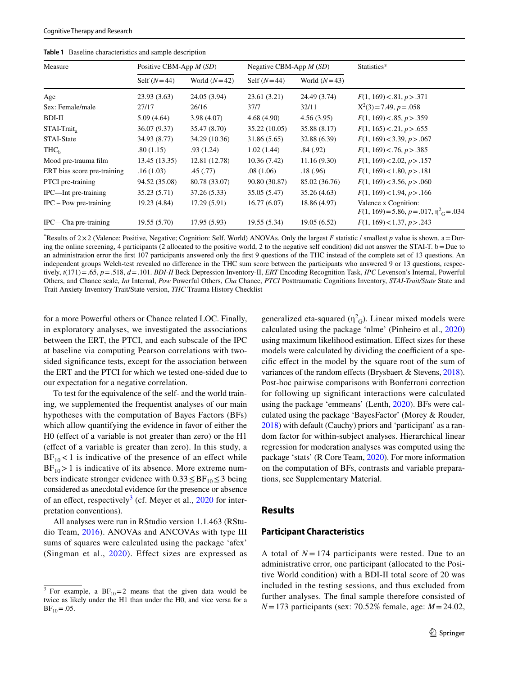| Measure          | Positive CBM-App $M(SD)$ |                | Negative CBM-App $M(SD)$ |                | Statistics*               |  |
|------------------|--------------------------|----------------|--------------------------|----------------|---------------------------|--|
|                  | Self $(N=44)$            | World $(N=42)$ | Self $(N=44)$            | World $(N=43)$ |                           |  |
| Age              | 23.93 (3.63)             | 24.05 (3.94)   | 23.61(3.21)              | 24.49 (3.74)   | F(1, 169) < .81, p > .371 |  |
| Sex: Female/male | 27/17                    | 26/16          | 37/7                     | 32/11          | $X^2(3) = 7.49, p = .058$ |  |

<span id="page-6-1"></span>**Table 1** Baseline characteristics and sample description

\* Results of 2×2 (Valence: Positive, Negative; Cognition: Self, World) ANOVAs. Only the largest *F* statistic / smallest *p* value is shown. a=During the online screening, 4 participants (2 allocated to the positive world, 2 to the negative self condition) did not answer the STAI-T. b=Due to an administration error the frst 107 participants answered only the frst 9 questions of the THC instead of the complete set of 13 questions. An independent groups Welch-test revealed no diference in the THC sum score between the participants who answered 9 or 13 questions, respectively, *t*(171)=.65, *p*=.518, *d*=.101. *BDI-II* Beck Depression Inventory-II, *ERT* Encoding Recognition Task, *IPC* Levenson's Internal, Powerful Others, and Chance scale, *Int* Internal, *Pow* Powerful Others, *Cha* Chance, *PTCI* Posttraumatic Cognitions Inventory, *STAI-Trait/State* State and Trait Anxiety Inventory Trait/State version, *THC* Trauma History Checklist

BDI-II 5.09 (4.64) 3.98 (4.07) 4.68 (4.90) 4.56 (3.95) *F*(1, 169)<.85, *p*>.359 STAI-Traita 36.07 (9.37) 35.47 (8.70) 35.22 (10.05) 35.88 (8.17) *F*(1, 165)<.21, *p*>.655 STAI-State 34.93 (8.77) 34.29 (10.36) 31.86 (5.65) 32.88 (6.39) *F*(1, 169)<3.39, *p*>.067 THCb .80 (1.15) .93 (1.24) 1.02 (1.44) .84 (.92) *F*(1, 169)<.76, *p*>.385 Mood pre-trauma flm 13.45 (13.35) 12.81 (12.78) 10.36 (7.42) 11.16 (9.30) *F*(1, 169)<2.02, *p*>.157 ERT bias score pre-training .16 (1.03) .45 (.77) .08 (1.06) .18 (.96) *F*(1, 169) < 1.80, *p* > .181 PTCI pre-training 94.52 (35.08) 80.78 (33.07) 90.80 (30.87) 85.02 (36.76) *F*(1, 169)<3.56, *p*>.060 IPC—Int pre-training 35.23 (5.71) 37.26 (5.33) 35.05 (5.47) 35.26 (4.63) *F*(1, 169)<1.94, *p*>.166 IPC – Pow pre-training 19.23 (4.84) 17.29 (5.91) 16.77 (6.07) 18.86 (4.97) Valence x Cognition:

IPC—Cha pre-training 19.55 (5.70) 17.95 (5.93) 19.55 (5.34) 19.05 (6.52) *F*(1, 169)<1.37, *p*>.243

for a more Powerful others or Chance related LOC. Finally, in exploratory analyses, we investigated the associations between the ERT, the PTCI, and each subscale of the IPC at baseline via computing Pearson correlations with twosided signifcance tests, except for the association between the ERT and the PTCI for which we tested one-sided due to our expectation for a negative correlation.

To test for the equivalence of the self- and the world training, we supplemented the frequentist analyses of our main hypotheses with the computation of Bayes Factors (BFs) which allow quantifying the evidence in favor of either the H0 (effect of a variable is not greater than zero) or the H1 (efect of a variable is greater than zero). In this study, a  $BF_{10}$ <1 is indicative of the presence of an effect while  $BF_{10}$  > 1 is indicative of its absence. More extreme numbers indicate stronger evidence with  $0.33 \leq BF_{10} \leq 3$  being considered as anecdotal evidence for the presence or absence of an effect, respectively<sup>[3](#page-6-0)</sup> (cf. Meyer et al., [2020](#page-13-21) for interpretation conventions).

All analyses were run in RStudio version 1.1.463 (RStudio Team, [2016\)](#page-13-22). ANOVAs and ANCOVAs with type III sums of squares were calculated using the package 'afex' (Singman et al., [2020\)](#page-13-23). Effect sizes are expressed as

generalized eta-squared  $(\eta^2 G)$ . Linear mixed models were calculated using the package 'nlme' (Pinheiro et al., [2020\)](#page-13-24) using maximum likelihood estimation. Efect sizes for these models were calculated by dividing the coefficient of a specifc efect in the model by the square root of the sum of variances of the random effects (Brysbaert & Stevens, [2018](#page-12-17)). Post-hoc pairwise comparisons with Bonferroni correction for following up signifcant interactions were calculated using the package 'emmeans' (Lenth, [2020](#page-13-25)). BFs were calculated using the package 'BayesFactor' (Morey & Rouder, [2018\)](#page-13-26) with default (Cauchy) priors and 'participant' as a random factor for within-subject analyses. Hierarchical linear regression for moderation analyses was computed using the package 'stats' (R Core Team, [2020](#page-13-27)). For more information on the computation of BFs, contrasts and variable preparations, see Supplementary Material.

 $X^2(3) = 7.49, p = .058$ 

 $F(1, 169) = 5.86, p = .017, \eta^2_G = .034$ 

#### **Results**

#### **Participant Characteristics**

A total of  $N = 174$  participants were tested. Due to an administrative error, one participant (allocated to the Positive World condition) with a BDI-II total score of 20 was included in the testing sessions, and thus excluded from further analyses. The fnal sample therefore consisted of *N*=173 participants (sex: 70.52% female, age: *M*=24.02,

<span id="page-6-0"></span>For example, a  $BF_{10}=2$  means that the given data would be twice as likely under the H1 than under the H0, and vice versa for a  $BF_{10} = .05$ .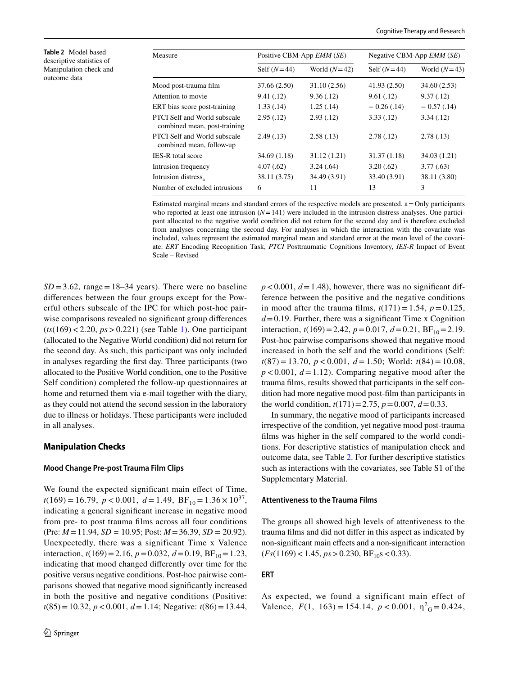<span id="page-7-0"></span>**Table 2** Model based descriptive statistics of Manipulation check and outcome data

| Measure                                                      | Positive CBM-App EMM (SE) |                | Negative CBM-App <i>EMM</i> (SE) |                |  |  |
|--------------------------------------------------------------|---------------------------|----------------|----------------------------------|----------------|--|--|
|                                                              | Self $(N=44)$             | World $(N=42)$ | Self $(N=44)$                    | World $(N=43)$ |  |  |
| Mood post-trauma film                                        | 37.66 (2.50)              | 31.10 (2.56)   | 41.93 (2.50)                     | 34.60 (2.53)   |  |  |
| Attention to movie                                           | 9.41(.12)                 | 9.36(.12)      | 9.61(.12)                        | 9.37(0.12)     |  |  |
| ERT bias score post-training                                 | 1.33(0.14)                | 1.25(.14)      | $-0.26$ (.14)                    | $-0.57(0.14)$  |  |  |
| PTCI Self and World subscale<br>combined mean, post-training | 2.95(.12)                 | 2.93(0.12)     | 3.33(0.12)                       | 3.34(0.12)     |  |  |
| PTCI Self and World subscale<br>combined mean, follow-up     | 2.49(0.13)                | 2.58(.13)      | 2.78(.12)                        | 2.78(0.13)     |  |  |
| <b>IES-R</b> total score                                     | 34.69 (1.18)              | 31.12 (1.21)   | 31.37(1.18)                      | 34.03 (1.21)   |  |  |
| Intrusion frequency                                          | 4.07(.62)                 | 3.24(.64)      | 3.20(.62)                        | 3.77(0.63)     |  |  |
| Intrusion distress,                                          | 38.11 (3.75)              | 34.49 (3.91)   | 33.40 (3.91)                     | 38.11 (3.80)   |  |  |
| Number of excluded intrusions                                | 6                         | 11             | 13                               | 3              |  |  |

Estimated marginal means and standard errors of the respective models are presented. a=Only participants who reported at least one intrusion  $(N=141)$  were included in the intrusion distress analyses. One participant allocated to the negative world condition did not return for the second day and is therefore excluded from analyses concerning the second day. For analyses in which the interaction with the covariate was included, values represent the estimated marginal mean and standard error at the mean level of the covariate. *ERT* Encoding Recognition Task, *PTCI* Posttraumatic Cognitions Inventory, *IES-R* Impact of Event Scale – Revised

 $SD = 3.62$ , range = 18–34 years). There were no baseline diferences between the four groups except for the Powerful others subscale of the IPC for which post-hoc pairwise comparisons revealed no significant group differences (*ts*(169)<2.20, *ps*>0.221) (see Table [1\)](#page-6-1). One participant (allocated to the Negative World condition) did not return for the second day. As such, this participant was only included in analyses regarding the frst day. Three participants (two allocated to the Positive World condition, one to the Positive Self condition) completed the follow-up questionnaires at home and returned them via e-mail together with the diary, as they could not attend the second session in the laboratory due to illness or holidays. These participants were included in all analyses.

## **Manipulation Checks**

### **Mood Change Pre‑post Trauma Film Clips**

We found the expected significant main effect of Time,  $t(169) = 16.79$ ,  $p < 0.001$ ,  $d = 1.49$ ,  $BF_{10} = 1.36 \times 10^{37}$ , indicating a general signifcant increase in negative mood from pre- to post trauma flms across all four conditions (Pre: *M*=11.94, *SD =* 10.95; Post: *M*=36.39, *SD* = 20.92). Unexpectedly, there was a significant Time x Valence interaction,  $t(169) = 2.16$ ,  $p = 0.032$ ,  $d = 0.19$ ,  $BF_{10} = 1.23$ , indicating that mood changed diferently over time for the positive versus negative conditions. Post-hoc pairwise comparisons showed that negative mood signifcantly increased in both the positive and negative conditions (Positive: *t*(85)=10.32, *p*<0.001, *d*=1.14; Negative: *t*(86)=13.44,

 $p < 0.001$ ,  $d = 1.48$ ), however, there was no significant difference between the positive and the negative conditions in mood after the trauma films,  $t(171) = 1.54$ ,  $p = 0.125$ ,  $d=0.19$ . Further, there was a significant Time x Cognition interaction,  $t(169) = 2.42$ ,  $p = 0.017$ ,  $d = 0.21$ ,  $BF_{10} = 2.19$ . Post-hoc pairwise comparisons showed that negative mood increased in both the self and the world conditions (Self: *t*(87) = 13.70, *p* < 0.001, *d* = 1.50; World: *t*(84) = 10.08,  $p < 0.001$ ,  $d = 1.12$ ). Comparing negative mood after the trauma flms, results showed that participants in the self condition had more negative mood post-flm than participants in the world condition,  $t(171) = 2.75$ ,  $p = 0.007$ ,  $d = 0.33$ .

In summary, the negative mood of participants increased irrespective of the condition, yet negative mood post-trauma flms was higher in the self compared to the world conditions. For descriptive statistics of manipulation check and outcome data, see Table [2.](#page-7-0) For further descriptive statistics such as interactions with the covariates, see Table S1 of the Supplementary Material.

#### **Attentiveness to the Trauma Films**

The groups all showed high levels of attentiveness to the trauma flms and did not difer in this aspect as indicated by non-signifcant main efects and a non-signifcant interaction  $(Fs(1169) < 1.45, ps > 0.230, BF_{10}s < 0.33).$ 

### **ERT**

As expected, we found a significant main effect of Valence,  $F(1, 163) = 154.14$ ,  $p < 0.001$ ,  $\eta_{G}^{2} = 0.424$ ,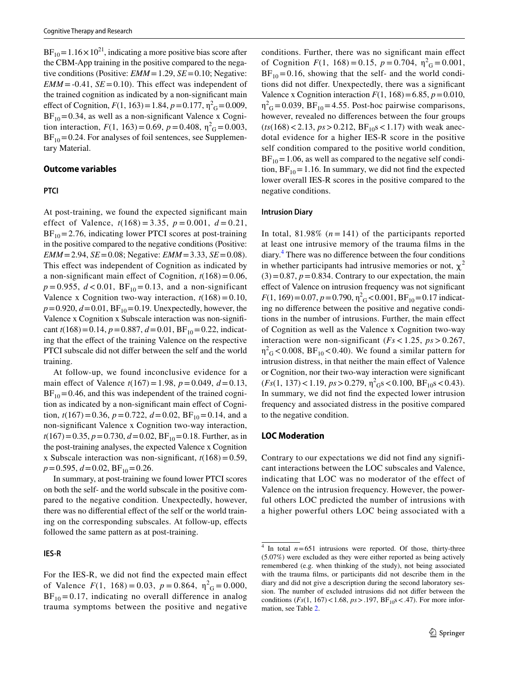$BF_{10} = 1.16 \times 10^{21}$ , indicating a more positive bias score after the CBM-App training in the positive compared to the negative conditions (Positive: *EMM* = 1.29, *SE* = 0.10; Negative:  $EMM = -0.41$ ,  $SE = 0.10$ . This effect was independent of the trained cognition as indicated by a non-signifcant main effect of Cognition,  $F(1, 163) = 1.84$ ,  $p = 0.177$ ,  $\eta_{\text{G}}^2 = 0.009$ ,  $BF_{10}=0.34$ , as well as a non-significant Valence x Cognition interaction,  $F(1, 163) = 0.69$ ,  $p = 0.408$ ,  $\eta^2$ <sub>G</sub> = 0.003,  $BF_{10}$  = 0.24. For analyses of foil sentences, see Supplementary Material.

## **Outcome variables**

### **PTCI**

At post-training, we found the expected signifcant main effect of Valence,  $t(168) = 3.35$ ,  $p = 0.001$ ,  $d = 0.21$ ,  $BF_{10} = 2.76$ , indicating lower PTCI scores at post-training in the positive compared to the negative conditions (Positive: *EMM*=2.94, *SE*=0.08; Negative: *EMM*=3.33, *SE*=0.08). This effect was independent of Cognition as indicated by a non-significant main effect of Cognition,  $t(168)=0.06$ ,  $p = 0.955$ ,  $d < 0.01$ ,  $BF_{10} = 0.13$ , and a non-significant Valence x Cognition two-way interaction,  $t(168)=0.10$ ,  $p=0.920, d=0.01, BF_{10}=0.19$ . Unexpectedly, however, the Valence x Cognition x Subscale interaction was non-signifcant  $t(168)=0.14$ ,  $p=0.887$ ,  $d=0.01$ ,  $BF_{10}=0.22$ , indicating that the efect of the training Valence on the respective PTCI subscale did not difer between the self and the world training.

At follow-up, we found inconclusive evidence for a main effect of Valence  $t(167) = 1.98$ ,  $p = 0.049$ ,  $d = 0.13$ ,  $BF_{10}$  = 0.46, and this was independent of the trained cognition as indicated by a non-signifcant main efect of Cognition,  $t(167) = 0.36$ ,  $p = 0.722$ ,  $d = 0.02$ ,  $BF_{10} = 0.14$ , and a non-signifcant Valence x Cognition two-way interaction,  $t(167) = 0.35$ ,  $p = 0.730$ ,  $d = 0.02$ ,  $BF_{10} = 0.18$ . Further, as in the post-training analyses, the expected Valence x Cognition x Subscale interaction was non-significant,  $t(168)=0.59$ ,  $p=0.595, d=0.02, BF_{10}=0.26.$ 

In summary, at post-training we found lower PTCI scores on both the self- and the world subscale in the positive compared to the negative condition. Unexpectedly, however, there was no diferential efect of the self or the world training on the corresponding subscales. At follow-up, efects followed the same pattern as at post-training.

#### **IES‑R**

For the IES-R, we did not fnd the expected main efect of Valence  $F(1, 168) = 0.03$ ,  $p = 0.864$ ,  $\eta^2$ <sub>G</sub> = 0.000,  $BF_{10} = 0.17$ , indicating no overall difference in analog trauma symptoms between the positive and negative

conditions. Further, there was no signifcant main efect of Cognition  $F(1, 168) = 0.15$ ,  $p = 0.704$ ,  $\eta_{G}^{2} = 0.001$ ,  $BF_{10}=0.16$ , showing that the self- and the world conditions did not difer. Unexpectedly, there was a signifcant Valence x Cognition interaction  $F(1, 168) = 6.85$ ,  $p = 0.010$ ,  $\eta_{\text{G}}^2$  = 0.039, BF<sub>10</sub> = 4.55. Post-hoc pairwise comparisons, however, revealed no diferences between the four groups  $(ts(168) < 2.13, ps > 0.212, BF<sub>10</sub>s < 1.17)$  with weak anecdotal evidence for a higher IES-R score in the positive self condition compared to the positive world condition,  $BF_{10}=1.06$ , as well as compared to the negative self condition,  $BF_{10} = 1.16$ . In summary, we did not find the expected lower overall IES-R scores in the positive compared to the negative conditions.

#### **Intrusion Diary**

In total,  $81.98\%$  ( $n = 141$ ) of the participants reported at least one intrusive memory of the trauma flms in the diary.[4](#page-8-0) There was no diference between the four conditions in whether participants had intrusive memories or not,  $\chi^2$  $(3)=0.87, p=0.834$ . Contrary to our expectation, the main efect of Valence on intrusion frequency was not signifcant  $F(1, 169) = 0.07, p = 0.790, \eta^2 G < 0.001, BF_{10} = 0.17$  indicating no diference between the positive and negative conditions in the number of intrusions. Further, the main efect of Cognition as well as the Valence x Cognition two-way interaction were non-significant (*Fs* < 1.25, *ps* > 0.267,  $\eta_{\text{G}}^2$  < 0.008, BF<sub>10</sub> < 0.40). We found a similar pattern for intrusion distress, in that neither the main efect of Valence or Cognition, nor their two-way interaction were signifcant  $(Fs(1, 137) < 1.19, ps > 0.279, \eta^2$ <sub>G</sub>s < 0.100, BF<sub>10</sub>s < 0.43). In summary, we did not fnd the expected lower intrusion frequency and associated distress in the positive compared to the negative condition.

#### **LOC Moderation**

Contrary to our expectations we did not find any significant interactions between the LOC subscales and Valence, indicating that LOC was no moderator of the effect of Valence on the intrusion frequency. However, the powerful others LOC predicted the number of intrusions with a higher powerful others LOC being associated with a

<span id="page-8-0"></span> $4$  In total  $n=651$  intrusions were reported. Of those, thirty-three (5.07%) were excluded as they were either reported as being actively remembered (e.g. when thinking of the study), not being associated with the trauma flms, or participants did not describe them in the diary and did not give a description during the second laboratory session. The number of excluded intrusions did not difer between the conditions  $(Fs(1, 167) < 1.68, ps > .197, BF_{10}s < .47)$ . For more information, see Table [2](#page-7-0).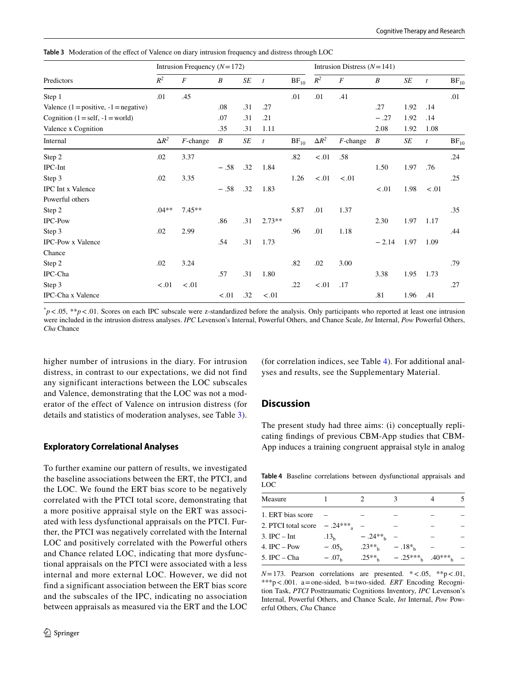<span id="page-9-0"></span>**Table 3** Moderation of the effect of Valence on diary intrusion frequency and distress through LOC

|                                         | Intrusion Frequency $(N=172)$ |                  |        |     |                  | Intrusion Distress $(N=141)$ |              |                  |         |      |                  |           |
|-----------------------------------------|-------------------------------|------------------|--------|-----|------------------|------------------------------|--------------|------------------|---------|------|------------------|-----------|
| Predictors                              | $\mathbb{R}^2$                | $\boldsymbol{F}$ | B      | SE  | $\boldsymbol{t}$ | $BF_{10}$                    | $R^2$        | $\boldsymbol{F}$ | B       | SE   | $\mathfrak{t}$   | $BF_{10}$ |
| Step 1                                  | .01                           | .45              |        |     |                  | .01                          | .01          | .41              |         |      |                  | .01       |
| Valence $(1 = positive, -1 = negative)$ |                               |                  | .08    | .31 | .27              |                              |              |                  | .27     | 1.92 | .14              |           |
| Cognition $(1 = self, -1 = world)$      |                               |                  | .07    | .31 | .21              |                              |              |                  | $-.27$  | 1.92 | .14              |           |
| Valence x Cognition                     |                               |                  | .35    | .31 | 1.11             |                              |              |                  | 2.08    | 1.92 | 1.08             |           |
| Internal                                | $\Delta R^2$                  | $F$ -change      | B      | SE  | $\boldsymbol{t}$ | $BF_{10}$                    | $\Delta R^2$ | $F$ -change      | B       | SE   | $\boldsymbol{t}$ | $BF_{10}$ |
| Step 2                                  | .02                           | 3.37             |        |     |                  | .82                          | $<.01$       | .58              |         |      |                  | .24       |
| IPC-Int                                 |                               |                  | $-.58$ | .32 | 1.84             |                              |              |                  | 1.50    | 1.97 | .76              |           |
| Step 3                                  | .02                           | 3.35             |        |     |                  | 1.26                         | < .01        | < 0.01           |         |      |                  | .25       |
| <b>IPC</b> Int x Valence                |                               |                  | $-.58$ | .32 | 1.83             |                              |              |                  | $-.01$  | 1.98 | < 0.01           |           |
| Powerful others                         |                               |                  |        |     |                  |                              |              |                  |         |      |                  |           |
| Step 2                                  | $.04**$                       | $7.45**$         |        |     |                  | 5.87                         | .01          | 1.37             |         |      |                  | .35       |
| IPC-Pow                                 |                               |                  | .86    | .31 | $2.73**$         |                              |              |                  | 2.30    | 1.97 | 1.17             |           |
| Step 3                                  | .02                           | 2.99             |        |     |                  | .96                          | .01          | 1.18             |         |      |                  | .44       |
| <b>IPC-Pow x Valence</b>                |                               |                  | .54    | .31 | 1.73             |                              |              |                  | $-2.14$ | 1.97 | 1.09             |           |
| Chance                                  |                               |                  |        |     |                  |                              |              |                  |         |      |                  |           |
| Step 2                                  | .02                           | 3.24             |        |     |                  | .82                          | .02          | 3.00             |         |      |                  | .79       |
| IPC-Cha                                 |                               |                  | .57    | .31 | 1.80             |                              |              |                  | 3.38    | 1.95 | 1.73             |           |
| Step 3                                  | < .01                         | $-.01$           |        |     |                  | .22                          | < .01        | .17              |         |      |                  | .27       |
| IPC-Cha x Valence                       |                               |                  | < .01  | .32 | < .01            |                              |              |                  | .81     | 1.96 | .41              |           |

\* *p*<.05, \*\**p*<.01. Scores on each IPC subscale were z-standardized before the analysis. Only participants who reported at least one intrusion were included in the intrusion distress analyses. *IPC* Levenson's Internal, Powerful Others, and Chance Scale, *Int* Internal, *Pow* Powerful Others, *Cha* Chance

higher number of intrusions in the diary. For intrusion distress, in contrast to our expectations, we did not find any significant interactions between the LOC subscales and Valence, demonstrating that the LOC was not a moderator of the effect of Valence on intrusion distress (for details and statistics of moderation analyses, see Table [3](#page-9-0)).

## **Exploratory Correlational Analyses**

To further examine our pattern of results, we investigated the baseline associations between the ERT, the PTCI, and the LOC. We found the ERT bias score to be negatively correlated with the PTCI total score, demonstrating that a more positive appraisal style on the ERT was associated with less dysfunctional appraisals on the PTCI. Further, the PTCI was negatively correlated with the Internal LOC and positively correlated with the Powerful others and Chance related LOC, indicating that more dysfunctional appraisals on the PTCI were associated with a less internal and more external LOC. However, we did not find a significant association between the ERT bias score and the subscales of the IPC, indicating no association between appraisals as measured via the ERT and the LOC (for correlation indices, see Table [4\)](#page-9-1). For additional analyses and results, see the Supplementary Material.

## **Discussion**

The present study had three aims: (i) conceptually replicating fndings of previous CBM-App studies that CBM-App induces a training congruent appraisal style in analog

<span id="page-9-1"></span>**Table 4** Baseline correlations between dysfunctional appraisals and LOC

| Measure             |                  |             |                      |  |
|---------------------|------------------|-------------|----------------------|--|
| 1. ERT bias score   |                  |             |                      |  |
| 2. PTCI total score | $-.24***$        |             |                      |  |
| $3.$ IPC $-$ Int    | .13 <sub>b</sub> | $-.24**h$   |                      |  |
| 4. IPC $-$ Pow      | $-.05b$          | $.23**$     | $-.18*$              |  |
| 5. IPC $-$ Cha      | $-.07b$          | $.25**_{h}$ | $-.25***$ , $.40***$ |  |

 $N=173$ . Pearson correlations are presented.  $* < .05$ ,  $**p* < .01$ , \*\*\*p<.001. a=one-sided, b=two-sided. *ERT* Encoding Recognition Task, *PTCI* Posttraumatic Cognitions Inventory, *IPC* Levenson's Internal, Powerful Others, and Chance Scale, *Int* Internal, *Pow* Powerful Others, *Cha* Chance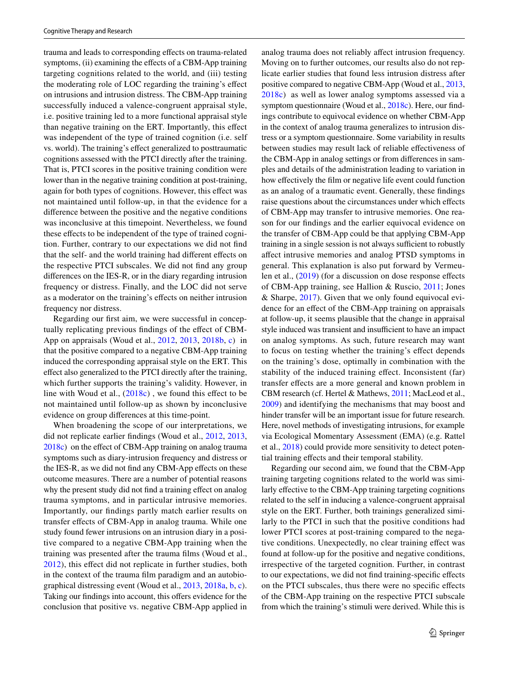trauma and leads to corresponding efects on trauma-related symptoms, (ii) examining the effects of a CBM-App training targeting cognitions related to the world, and (iii) testing the moderating role of LOC regarding the training's efect on intrusions and intrusion distress. The CBM-App training successfully induced a valence-congruent appraisal style, i.e. positive training led to a more functional appraisal style than negative training on the ERT. Importantly, this efect was independent of the type of trained cognition (i.e. self vs. world). The training's efect generalized to posttraumatic cognitions assessed with the PTCI directly after the training. That is, PTCI scores in the positive training condition were lower than in the negative training condition at post-training, again for both types of cognitions. However, this efect was not maintained until follow-up, in that the evidence for a diference between the positive and the negative conditions was inconclusive at this timepoint. Nevertheless, we found these efects to be independent of the type of trained cognition. Further, contrary to our expectations we did not fnd that the self- and the world training had diferent efects on the respective PTCI subscales. We did not fnd any group diferences on the IES-R, or in the diary regarding intrusion frequency or distress. Finally, and the LOC did not serve as a moderator on the training's efects on neither intrusion frequency nor distress.

Regarding our frst aim, we were successful in conceptually replicating previous findings of the effect of CBM-App on appraisals (Woud et al., [2012](#page-14-0), [2013](#page-14-1), [2018b](#page-13-8), [c](#page-14-2)) in that the positive compared to a negative CBM-App training induced the corresponding appraisal style on the ERT. This efect also generalized to the PTCI directly after the training, which further supports the training's validity. However, in line with Woud et al.,  $(2018c)$  $(2018c)$  $(2018c)$ , we found this effect to be not maintained until follow-up as shown by inconclusive evidence on group diferences at this time-point.

When broadening the scope of our interpretations, we did not replicate earlier fndings (Woud et al., [2012,](#page-14-0) [2013,](#page-14-1) [2018c](#page-14-2)) on the efect of CBM-App training on analog trauma symptoms such as diary-intrusion frequency and distress or the IES-R, as we did not fnd any CBM-App efects on these outcome measures. There are a number of potential reasons why the present study did not find a training effect on analog trauma symptoms, and in particular intrusive memories. Importantly, our fndings partly match earlier results on transfer efects of CBM-App in analog trauma. While one study found fewer intrusions on an intrusion diary in a positive compared to a negative CBM-App training when the training was presented after the trauma flms (Woud et al., [2012\)](#page-14-0), this efect did not replicate in further studies, both in the context of the trauma flm paradigm and an autobiographical distressing event (Woud et al., [2013](#page-14-1), [2018a](#page-13-28), [b,](#page-13-8) [c](#page-14-2)). Taking our findings into account, this offers evidence for the conclusion that positive vs. negative CBM-App applied in analog trauma does not reliably afect intrusion frequency. Moving on to further outcomes, our results also do not replicate earlier studies that found less intrusion distress after positive compared to negative CBM-App (Woud et al., [2013,](#page-14-1) [2018c](#page-14-2)) as well as lower analog symptoms assessed via a symptom questionnaire (Woud et al., [2018c\)](#page-14-2). Here, our fndings contribute to equivocal evidence on whether CBM-App in the context of analog trauma generalizes to intrusion distress or a symptom questionnaire. Some variability in results between studies may result lack of reliable efectiveness of the CBM-App in analog settings or from diferences in samples and details of the administration leading to variation in how effectively the film or negative life event could function as an analog of a traumatic event. Generally, these fndings raise questions about the circumstances under which efects of CBM-App may transfer to intrusive memories. One reason for our fndings and the earlier equivocal evidence on the transfer of CBM-App could be that applying CBM-App training in a single session is not always sufficient to robustly afect intrusive memories and analog PTSD symptoms in general. This explanation is also put forward by Vermeulen et al.,  $(2019)$  $(2019)$  (for a discussion on dose response effects of CBM-App training, see Hallion & Ruscio, [2011](#page-12-18); Jones & Sharpe, [2017\)](#page-13-30). Given that we only found equivocal evidence for an efect of the CBM-App training on appraisals at follow-up, it seems plausible that the change in appraisal style induced was transient and insufficient to have an impact on analog symptoms. As such, future research may want to focus on testing whether the training's efect depends on the training's dose, optimally in combination with the stability of the induced training efect. Inconsistent (far) transfer efects are a more general and known problem in CBM research (cf. Hertel & Mathews, [2011;](#page-12-19) MacLeod et al., [2009](#page-13-31)) and identifying the mechanisms that may boost and hinder transfer will be an important issue for future research. Here, novel methods of investigating intrusions, for example via Ecological Momentary Assessment (EMA) (e.g. Rattel et al., [2018\)](#page-13-32) could provide more sensitivity to detect potential training efects and their temporal stability.

Regarding our second aim, we found that the CBM-App training targeting cognitions related to the world was similarly effective to the CBM-App training targeting cognitions related to the self in inducing a valence-congruent appraisal style on the ERT. Further, both trainings generalized similarly to the PTCI in such that the positive conditions had lower PTCI scores at post-training compared to the negative conditions. Unexpectedly, no clear training efect was found at follow-up for the positive and negative conditions, irrespective of the targeted cognition. Further, in contrast to our expectations, we did not fnd training-specifc efects on the PTCI subscales, thus there were no specifc efects of the CBM-App training on the respective PTCI subscale from which the training's stimuli were derived. While this is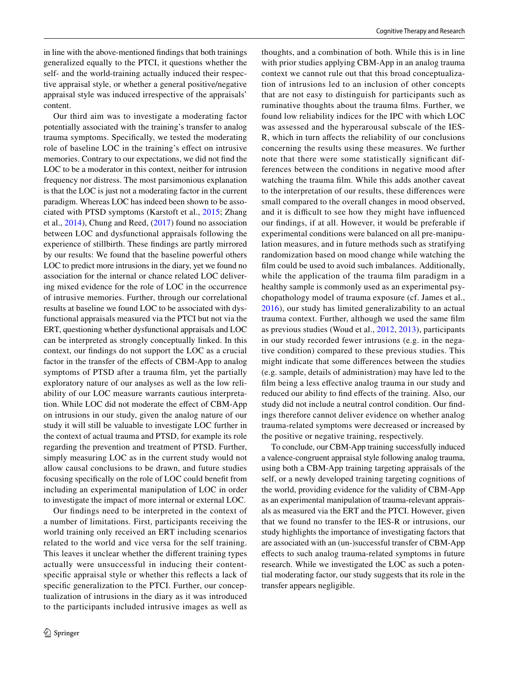in line with the above-mentioned fndings that both trainings generalized equally to the PTCI, it questions whether the self- and the world-training actually induced their respective appraisal style, or whether a general positive/negative appraisal style was induced irrespective of the appraisals' content.

Our third aim was to investigate a moderating factor potentially associated with the training's transfer to analog trauma symptoms. Specifcally, we tested the moderating role of baseline LOC in the training's efect on intrusive memories. Contrary to our expectations, we did not fnd the LOC to be a moderator in this context, neither for intrusion frequency nor distress. The most parsimonious explanation is that the LOC is just not a moderating factor in the current paradigm. Whereas LOC has indeed been shown to be associated with PTSD symptoms (Karstoft et al., [2015](#page-13-13); Zhang et al., [2014\)](#page-14-4), Chung and Reed, ([2017\)](#page-12-20) found no association between LOC and dysfunctional appraisals following the experience of stillbirth. These fndings are partly mirrored by our results: We found that the baseline powerful others LOC to predict more intrusions in the diary, yet we found no association for the internal or chance related LOC delivering mixed evidence for the role of LOC in the occurrence of intrusive memories. Further, through our correlational results at baseline we found LOC to be associated with dysfunctional appraisals measured via the PTCI but not via the ERT, questioning whether dysfunctional appraisals and LOC can be interpreted as strongly conceptually linked. In this context, our fndings do not support the LOC as a crucial factor in the transfer of the effects of CBM-App to analog symptoms of PTSD after a trauma film, yet the partially exploratory nature of our analyses as well as the low reliability of our LOC measure warrants cautious interpretation. While LOC did not moderate the effect of CBM-App on intrusions in our study, given the analog nature of our study it will still be valuable to investigate LOC further in the context of actual trauma and PTSD, for example its role regarding the prevention and treatment of PTSD. Further, simply measuring LOC as in the current study would not allow causal conclusions to be drawn, and future studies focusing specifcally on the role of LOC could beneft from including an experimental manipulation of LOC in order to investigate the impact of more internal or external LOC.

Our fndings need to be interpreted in the context of a number of limitations. First, participants receiving the world training only received an ERT including scenarios related to the world and vice versa for the self training. This leaves it unclear whether the diferent training types actually were unsuccessful in inducing their contentspecifc appraisal style or whether this refects a lack of specifc generalization to the PTCI. Further, our conceptualization of intrusions in the diary as it was introduced to the participants included intrusive images as well as

thoughts, and a combination of both. While this is in line with prior studies applying CBM-App in an analog trauma context we cannot rule out that this broad conceptualization of intrusions led to an inclusion of other concepts that are not easy to distinguish for participants such as ruminative thoughts about the trauma films. Further, we found low reliability indices for the IPC with which LOC was assessed and the hyperarousal subscale of the IES-R, which in turn afects the reliability of our conclusions concerning the results using these measures. We further note that there were some statistically signifcant differences between the conditions in negative mood after watching the trauma flm. While this adds another caveat to the interpretation of our results, these diferences were small compared to the overall changes in mood observed, and it is difficult to see how they might have influenced our fndings, if at all. However, it would be preferable if experimental conditions were balanced on all pre-manipulation measures, and in future methods such as stratifying randomization based on mood change while watching the flm could be used to avoid such imbalances. Additionally, while the application of the trauma film paradigm in a healthy sample is commonly used as an experimental psychopathology model of trauma exposure (cf. James et al., [2016\)](#page-12-12), our study has limited generalizability to an actual trauma context. Further, although we used the same flm as previous studies (Woud et al., [2012,](#page-14-0) [2013](#page-14-1)), participants in our study recorded fewer intrusions (e.g. in the negative condition) compared to these previous studies. This might indicate that some diferences between the studies (e.g. sample, details of administration) may have led to the flm being a less efective analog trauma in our study and reduced our ability to fnd efects of the training. Also, our study did not include a neutral control condition. Our fndings therefore cannot deliver evidence on whether analog trauma-related symptoms were decreased or increased by the positive or negative training, respectively.

To conclude, our CBM-App training successfully induced a valence-congruent appraisal style following analog trauma, using both a CBM-App training targeting appraisals of the self, or a newly developed training targeting cognitions of the world, providing evidence for the validity of CBM-App as an experimental manipulation of trauma-relevant appraisals as measured via the ERT and the PTCI. However, given that we found no transfer to the IES-R or intrusions, our study highlights the importance of investigating factors that are associated with an (un-)successful transfer of CBM-App efects to such analog trauma-related symptoms in future research. While we investigated the LOC as such a potential moderating factor, our study suggests that its role in the transfer appears negligible.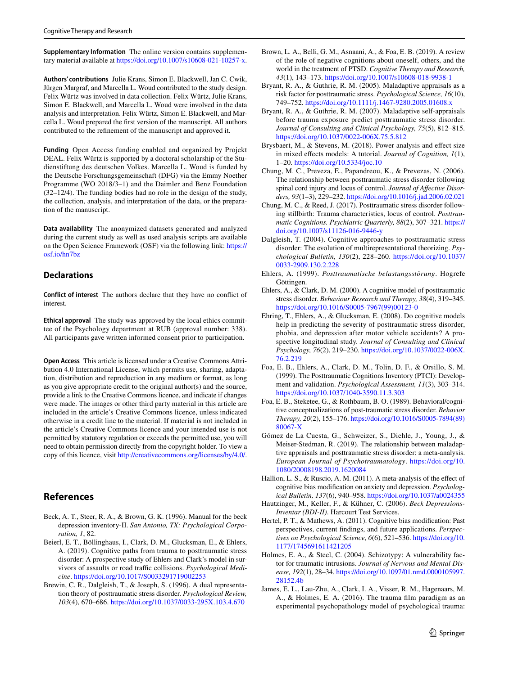**Supplementary Information** The online version contains supplementary material available at<https://doi.org/10.1007/s10608-021-10257-x>.

**Authors' contributions** Julie Krans, Simon E. Blackwell, Jan C. Cwik, Jürgen Margraf, and Marcella L. Woud contributed to the study design. Felix Würtz was involved in data collection. Felix Würtz, Julie Krans, Simon E. Blackwell, and Marcella L. Woud were involved in the data analysis and interpretation. Felix Würtz, Simon E. Blackwell, and Marcella L. Woud prepared the frst version of the manuscript. All authors contributed to the refnement of the manuscript and approved it.

**Funding** Open Access funding enabled and organized by Projekt DEAL. Felix Würtz is supported by a doctoral scholarship of the Studienstiftung des deutschen Volkes. Marcella L. Woud is funded by the Deutsche Forschungsgemeinschaft (DFG) via the Emmy Noether Programme (WO 2018/3–1) and the Daimler and Benz Foundation (32–12/4). The funding bodies had no role in the design of the study, the collection, analysis, and interpretation of the data, or the preparation of the manuscript.

**Data availability** The anonymized datasets generated and analyzed during the current study as well as used analysis scripts are available on the Open Science Framework (OSF) via the following link: [https://](https://osf.io/hn7bz) [osf.io/hn7bz](https://osf.io/hn7bz)

## **Declarations**

**Conflict of interest** The authors declare that they have no confict of interest.

**Ethical approval** The study was approved by the local ethics committee of the Psychology department at RUB (approval number: 338). All participants gave written informed consent prior to participation.

**Open Access** This article is licensed under a Creative Commons Attribution 4.0 International License, which permits use, sharing, adaptation, distribution and reproduction in any medium or format, as long as you give appropriate credit to the original author(s) and the source, provide a link to the Creative Commons licence, and indicate if changes were made. The images or other third party material in this article are included in the article's Creative Commons licence, unless indicated otherwise in a credit line to the material. If material is not included in the article's Creative Commons licence and your intended use is not permitted by statutory regulation or exceeds the permitted use, you will need to obtain permission directly from the copyright holder. To view a copy of this licence, visit <http://creativecommons.org/licenses/by/4.0/>.

## **References**

- <span id="page-12-13"></span>Beck, A. T., Steer, R. A., & Brown, G. K. (1996). Manual for the beck depression inventory-II. *San Antonio, TX: Psychological Corporation, 1*, 82.
- <span id="page-12-7"></span>Beierl, E. T., Böllinghaus, I., Clark, D. M., Glucksman, E., & Ehlers, A. (2019). Cognitive paths from trauma to posttraumatic stress disorder: A prospective study of Ehlers and Clark's model in survivors of assaults or road traffic collisions. *Psychological Medicine*. <https://doi.org/10.1017/S0033291719002253>
- <span id="page-12-0"></span>Brewin, C. R., Dalgleish, T., & Joseph, S. (1996). A dual representation theory of posttraumatic stress disorder. *Psychological Review, 103*(4), 670–686.<https://doi.org/10.1037/0033-295X.103.4.670>
- <span id="page-12-8"></span>Brown, L. A., Belli, G. M., Asnaani, A., & Foa, E. B. (2019). A review of the role of negative cognitions about oneself, others, and the world in the treatment of PTSD. *Cognitive Therapy and Research, 43*(1), 143–173.<https://doi.org/10.1007/s10608-018-9938-1>
- <span id="page-12-9"></span>Bryant, R. A., & Guthrie, R. M. (2005). Maladaptive appraisals as a risk factor for posttraumatic stress. *Psychological Science, 16*(10), 749–752.<https://doi.org/10.1111/j.1467-9280.2005.01608.x>
- <span id="page-12-10"></span>Bryant, R. A., & Guthrie, R. M. (2007). Maladaptive self-appraisals before trauma exposure predict posttraumatic stress disorder. *Journal of Consulting and Clinical Psychology, 75*(5), 812–815. <https://doi.org/10.1037/0022-006X.75.5.812>
- <span id="page-12-17"></span>Brysbaert, M., & Stevens, M. (2018). Power analysis and efect size in mixed efects models: A tutorial. *Journal of Cognition, 1*(1), 1–20. <https://doi.org/10.5334/joc.10>
- <span id="page-12-11"></span>Chung, M. C., Preveza, E., Papandreou, K., & Prevezas, N. (2006). The relationship between posttraumatic stress disorder following spinal cord injury and locus of control. *Journal of Afective Disorders, 93*(1–3), 229–232.<https://doi.org/10.1016/j.jad.2006.02.021>
- <span id="page-12-20"></span>Chung, M. C., & Reed, J. (2017). Posttraumatic stress disorder following stillbirth: Trauma characteristics, locus of control. *Posttraumatic Cognitions. Psychiatric Quarterly, 88*(2), 307–321. [https://](https://doi.org/10.1007/s11126-016-9446-y) [doi.org/10.1007/s11126-016-9446-y](https://doi.org/10.1007/s11126-016-9446-y)
- <span id="page-12-1"></span>Dalgleish, T. (2004). Cognitive approaches to posttraumatic stress disorder: The evolution of multirepresentational theorizing. *Psychological Bulletin, 130*(2), 228–260. [https://doi.org/10.1037/](https://doi.org/10.1037/0033-2909.130.2.228) [0033-2909.130.2.228](https://doi.org/10.1037/0033-2909.130.2.228)
- <span id="page-12-15"></span>Ehlers, A. (1999). *Posttraumatische belastungsstörung*. Hogrefe Göttingen.
- <span id="page-12-2"></span>Ehlers, A., & Clark, D. M. (2000). A cognitive model of posttraumatic stress disorder. *Behaviour Research and Therapy, 38*(4), 319–345. [https://doi.org/10.1016/S0005-7967\(99\)00123-0](https://doi.org/10.1016/S0005-7967(99)00123-0)
- <span id="page-12-6"></span>Ehring, T., Ehlers, A., & Glucksman, E. (2008). Do cognitive models help in predicting the severity of posttraumatic stress disorder, phobia, and depression after motor vehicle accidents? A prospective longitudinal study. *Journal of Consulting and Clinical Psychology, 76*(2), 219–230. [https://doi.org/10.1037/0022-006X.](https://doi.org/10.1037/0022-006X.76.2.219) [76.2.219](https://doi.org/10.1037/0022-006X.76.2.219)
- <span id="page-12-4"></span>Foa, E. B., Ehlers, A., Clark, D. M., Tolin, D. F., & Orsillo, S. M. (1999). The Posttraumatic Cognitions Inventory (PTCI): Development and validation. *Psychological Assessment, 11*(3), 303–314. <https://doi.org/10.1037/1040-3590.11.3.303>
- <span id="page-12-3"></span>Foa, E. B., Steketee, G., & Rothbaum, B. O. (1989). Behavioral/cognitive conceptualizations of post-traumatic stress disorder. *Behavior Therapy, 20*(2), 155–176. [https://doi.org/10.1016/S0005-7894\(89\)](https://doi.org/10.1016/S0005-7894(89)80067-X) [80067-X](https://doi.org/10.1016/S0005-7894(89)80067-X)
- <span id="page-12-5"></span>Gómez de La Cuesta, G., Schweizer, S., Diehle, J., Young, J., & Meiser-Stedman, R. (2019). The relationship between maladaptive appraisals and posttraumatic stress disorder: a meta-analysis. *European Journal of Psychotraumatology*. [https://doi.org/10.](https://doi.org/10.1080/20008198.2019.1620084) [1080/20008198.2019.1620084](https://doi.org/10.1080/20008198.2019.1620084)
- <span id="page-12-18"></span>Hallion, L. S., & Ruscio, A. M. (2011). A meta-analysis of the efect of cognitive bias modifcation on anxiety and depression. *Psychological Bulletin, 137*(6), 940–958.<https://doi.org/10.1037/a0024355>
- <span id="page-12-14"></span>Hautzinger, M., Keller, F., & Kühner, C. (2006). *Beck Depressions-Inventar (BDI-II)*. Harcourt Test Services.
- <span id="page-12-19"></span>Hertel, P. T., & Mathews, A. (2011). Cognitive bias modifcation: Past perspectives, current fndings, and future applications. *Perspectives on Psychological Science, 6*(6), 521–536. [https://doi.org/10.](https://doi.org/10.1177/1745691611421205) [1177/1745691611421205](https://doi.org/10.1177/1745691611421205)
- <span id="page-12-16"></span>Holmes, E. A., & Steel, C. (2004). Schizotypy: A vulnerability factor for traumatic intrusions. *Journal of Nervous and Mental Disease, 192*(1), 28–34. [https://doi.org/10.1097/01.nmd.0000105997.](https://doi.org/10.1097/01.nmd.0000105997.28152.4b) [28152.4b](https://doi.org/10.1097/01.nmd.0000105997.28152.4b)
- <span id="page-12-12"></span>James, E. L., Lau-Zhu, A., Clark, I. A., Visser, R. M., Hagenaars, M. A., & Holmes, E. A. (2016). The trauma flm paradigm as an experimental psychopathology model of psychological trauma: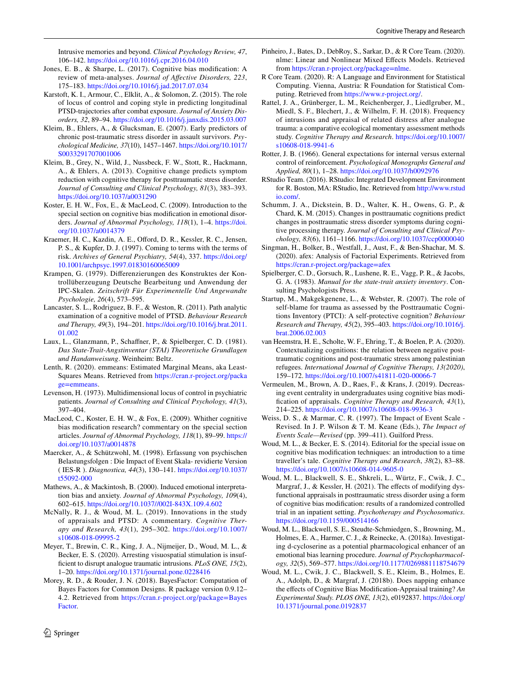Intrusive memories and beyond. *Clinical Psychology Review, 47*, 106–142.<https://doi.org/10.1016/j.cpr.2016.04.010>

- <span id="page-13-30"></span>Jones, E. B., & Sharpe, L. (2017). Cognitive bias modifcation: A review of meta-analyses. *Journal of Afective Disorders, 223*, 175–183.<https://doi.org/10.1016/j.jad.2017.07.034>
- <span id="page-13-13"></span>Karstoft, K. I., Armour, C., Elklit, A., & Solomon, Z. (2015). The role of locus of control and coping style in predicting longitudinal PTSD-trajectories after combat exposure. *Journal of Anxiety Disorders, 32*, 89–94. <https://doi.org/10.1016/j.janxdis.2015.03.007>
- <span id="page-13-1"></span>Kleim, B., Ehlers, A., & Glucksman, E. (2007). Early predictors of chronic post-traumatic stress disorder in assault survivors. *Psychological Medicine, 37*(10), 1457–1467. [https://doi.org/10.1017/](https://doi.org/10.1017/S0033291707001006) [S0033291707001006](https://doi.org/10.1017/S0033291707001006)
- <span id="page-13-2"></span>Kleim, B., Grey, N., Wild, J., Nussbeck, F. W., Stott, R., Hackmann, A., & Ehlers, A. (2013). Cognitive change predicts symptom reduction with cognitive therapy for posttraumatic stress disorder. *Journal of Consulting and Clinical Psychology, 81*(3), 383–393. <https://doi.org/10.1037/a0031290>
- <span id="page-13-5"></span>Koster, E. H. W., Fox, E., & MacLeod, C. (2009). Introduction to the special section on cognitive bias modifcation in emotional disorders. *Journal of Abnormal Psychology, 118*(1), 1–4. [https://doi.](https://doi.org/10.1037/a0014379) [org/10.1037/a0014379](https://doi.org/10.1037/a0014379)
- <span id="page-13-4"></span>Kraemer, H. C., Kazdin, A. E., Offord, D. R., Kessler, R. C., Jensen, P. S., & Kupfer, D. J. (1997). Coming to terms with the terms of risk. *Archives of General Psychiatry, 54*(4), 337. [https://doi.org/](https://doi.org/10.1001/archpsyc.1997.01830160065009) [10.1001/archpsyc.1997.01830160065009](https://doi.org/10.1001/archpsyc.1997.01830160065009)
- <span id="page-13-20"></span>Krampen, G. (1979). Diferenzierungen des Konstruktes der Kontrollüberzeugung Deutsche Bearbeitung und Anwendung der IPC-Skalen. *Zeitschrift Für Experimentelle Und Angewandte Psychologie, 26*(4), 573–595.
- <span id="page-13-9"></span>Lancaster, S. L., Rodriguez, B. F., & Weston, R. (2011). Path analytic examination of a cognitive model of PTSD. *Behaviour Research and Therapy, 49*(3), 194–201. [https://doi.org/10.1016/j.brat.2011.](https://doi.org/10.1016/j.brat.2011.01.002) [01.002](https://doi.org/10.1016/j.brat.2011.01.002)
- <span id="page-13-18"></span>Laux, L., Glanzmann, P., Schafner, P., & Spielberger, C. D. (1981). *Das State-Trait-Angstinventar (STAI) Theoretische Grundlagen und Handanweisung*. Weinheim: Beltz.
- <span id="page-13-25"></span>Lenth, R. (2020). emmeans: Estimated Marginal Means, aka Least-Squares Means. Retrieved from [https://cran.r-project.org/packa](https://cran.r-project.org/package=emmeans) [ge=emmeans](https://cran.r-project.org/package=emmeans).
- <span id="page-13-19"></span>Levenson, H. (1973). Multidimensional locus of control in psychiatric patients. *Journal of Consulting and Clinical Psychology, 41*(3), 397–404.
- <span id="page-13-31"></span>MacLeod, C., Koster, E. H. W., & Fox, E. (2009). Whither cognitive bias modifcation research? commentary on the special section articles. *Journal of Abnormal Psychology, 118*(1), 89–99. [https://](https://doi.org/10.1037/a0014878) [doi.org/10.1037/a0014878](https://doi.org/10.1037/a0014878)
- <span id="page-13-15"></span>Maercker, A., & Schützwohl, M. (1998). Erfassung von psychischen Belastungsfolgen : Die Impact of Event Skala- revidierte Version ( IES-R ). *Diagnostica, 44*(3), 130–141. [https://doi.org/10.1037/](https://doi.org/10.1037/t55092-000) [t55092-000](https://doi.org/10.1037/t55092-000)
- <span id="page-13-14"></span>Mathews, A., & Mackintosh, B. (2000). Induced emotional interpretation bias and anxiety. *Journal of Abnormal Psychology, 109*(4), 602–615.<https://doi.org/10.1037//002I-843X.109.4.602>
- <span id="page-13-0"></span>McNally, R. J., & Woud, M. L. (2019). Innovations in the study of appraisals and PTSD: A commentary. *Cognitive Therapy and Research, 43*(1), 295–302. [https://doi.org/10.1007/](https://doi.org/10.1007/s10608-018-09995-2) [s10608-018-09995-2](https://doi.org/10.1007/s10608-018-09995-2)
- <span id="page-13-21"></span>Meyer, T., Brewin, C. R., King, J. A., Nijmeijer, D., Woud, M. L., & Becker, E. S. (2020). Arresting visuospatial stimulation is insuffcient to disrupt analogue traumatic intrusions. *PLoS ONE, 15*(2), 1–20.<https://doi.org/10.1371/journal.pone.0228416>
- <span id="page-13-26"></span>Morey, R. D., & Rouder, J. N. (2018). BayesFactor: Computation of Bayes Factors for Common Designs. R package version 0.9.12– 4.2. Retrieved from [https://cran.r-project.org/package=Bayes](https://cran.r-project.org/package=BayesFactor) [Factor](https://cran.r-project.org/package=BayesFactor).
- <span id="page-13-24"></span>Pinheiro, J., Bates, D., DebRoy, S., Sarkar, D., & R Core Team. (2020). nlme: Linear and Nonlinear Mixed Efects Models. Retrieved from [https://cran.r-project.org/package=nlme.](https://cran.r-project.org/package=nlme)
- <span id="page-13-27"></span>R Core Team. (2020). R: A Language and Environment for Statistical Computing. Vienna, Austria: R Foundation for Statistical Computing. Retrieved from<https://www.r-project.org/>.
- <span id="page-13-32"></span>Rattel, J. A., Grünberger, L. M., Reichenberger, J., Liedlgruber, M., Miedl, S. F., Blechert, J., & Wilhelm, F. H. (2018). Frequency of intrusions and appraisal of related distress after analogue trauma: a comparative ecological momentary assessment methods study. *Cognitive Therapy and Research*. [https://doi.org/10.1007/](https://doi.org/10.1007/s10608-018-9941-6) [s10608-018-9941-6](https://doi.org/10.1007/s10608-018-9941-6)
- <span id="page-13-12"></span>Rotter, J. B. (1966). General expectations for internal versus external control of reinforcement. *Psychological Monographs General and Applied, 80*(1), 1–28.<https://doi.org/10.1037/h0092976>
- <span id="page-13-22"></span>RStudio Team. (2016). RStudio: Integrated Development Environment for R. Boston, MA: RStudio, Inc. Retrieved from [http://www.rstud](http://www.rstudio.com/) [io.com/](http://www.rstudio.com/).
- <span id="page-13-3"></span>Schumm, J. A., Dickstein, B. D., Walter, K. H., Owens, G. P., & Chard, K. M. (2015). Changes in posttraumatic cognitions predict changes in posttraumatic stress disorder symptoms during cognitive processing therapy. *Journal of Consulting and Clinical Psychology, 83*(6), 1161–1166.<https://doi.org/10.1037/ccp0000040>
- <span id="page-13-23"></span>Singman, H., Bolker, B., Westfall, J., Aust, F., & Ben-Shachar, M. S. (2020). afex: Analysis of Factorial Experiments. Retrieved from <https://cran.r-project.org/package=afex>
- <span id="page-13-17"></span>Spielberger, C. D., Gorsuch, R., Lushene, R. E., Vagg, P. R., & Jacobs, G. A. (1983). *Manual for the state-trait anxiety inventory*. Consulting Psychologists Press.
- <span id="page-13-11"></span>Startup, M., Makgekgenene, L., & Webster, R. (2007). The role of self-blame for trauma as assessed by the Posttraumatic Cognitions Inventory (PTCI): A self-protective cognition? *Behaviour Research and Therapy, 45*(2), 395–403. [https://doi.org/10.1016/j.](https://doi.org/10.1016/j.brat.2006.02.003) [brat.2006.02.003](https://doi.org/10.1016/j.brat.2006.02.003)
- <span id="page-13-10"></span>van Heemstra, H. E., Scholte, W. F., Ehring, T., & Boelen, P. A. (2020). Contextualizing cognitions: the relation between negative posttraumatic cognitions and post-traumatic stress among palestinian refugees. *International Journal of Cognitive Therapy, 13(2020)*, 159–172.<https://doi.org/10.1007/s41811-020-00066-7>
- <span id="page-13-29"></span>Vermeulen, M., Brown, A. D., Raes, F., & Krans, J. (2019). Decreasing event centrality in undergraduates using cognitive bias modifcation of appraisals. *Cognitive Therapy and Research, 43*(1), 214–225.<https://doi.org/10.1007/s10608-018-9936-3>
- <span id="page-13-16"></span>Weiss, D. S., & Marmar, C. R. (1997). The Impact of Event Scale - Revised. In J. P. Wilson & T. M. Keane (Eds.), *The Impact of Events Scale—Revised* (pp. 399–411). Guilford Press.
- <span id="page-13-6"></span>Woud, M. L., & Becker, E. S. (2014). Editorial for the special issue on cognitive bias modifcation techniques: an introduction to a time traveller's tale. *Cognitive Therapy and Research*, *38*(2), 83–88. <https://doi.org/10.1007/s10608-014-9605-0>
- <span id="page-13-7"></span>Woud, M. L., Blackwell, S. E., Shkreli, L., Würtz, F., Cwik, J. C., Margraf, J., & Kessler, H. (2021). The effects of modifying dysfunctional appraisals in posttraumatic stress disorder using a form of cognitive bias modifcation: results of a randomized controlled trial in an inpatient setting. *Psychotherapy and Psychosomatics*. <https://doi.org/10.1159/000514166>
- <span id="page-13-28"></span>Woud, M. L., Blackwell, S. E., Steudte-Schmiedgen, S., Browning, M., Holmes, E. A., Harmer, C. J., & Reinecke, A. (2018a). Investigating d-cycloserine as a potential pharmacological enhancer of an emotional bias learning procedure. *Journal of Psychopharmacology, 32*(5), 569–577.<https://doi.org/10.1177/0269881118754679>
- <span id="page-13-8"></span>Woud, M. L., Cwik, J. C., Blackwell, S. E., Kleim, B., Holmes, E. A., Adolph, D., & Margraf, J. (2018b). Does napping enhance the efects of Cognitive Bias Modifcation-Appraisal training? *An Experimental Study. PLOS ONE, 13*(2), e0192837. [https://doi.org/](https://doi.org/10.1371/journal.pone.0192837) [10.1371/journal.pone.0192837](https://doi.org/10.1371/journal.pone.0192837)